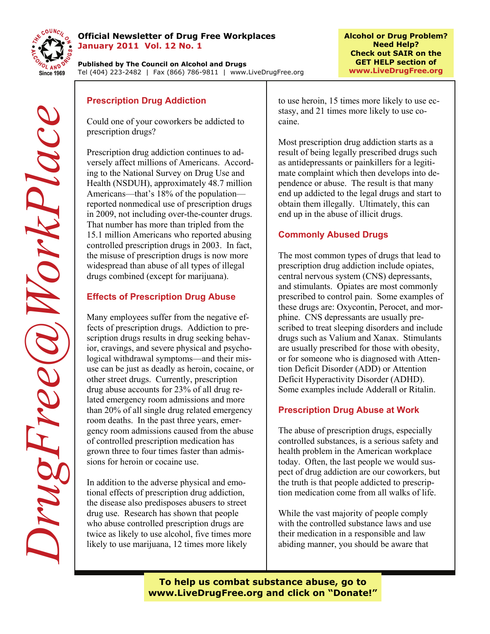

#### **Official Newsletter of Drug Free Workplaces January 2011 Vol. 12 No. 1**

**Published by The Council on Alcohol and Drugs**  Tel (404) 223-2482 | Fax (866) 786-9811 | www.LiveDrugFree.org

Could one of your coworkers be addicted to prescription drugs?

Prescription drug addiction continues to adversely affect millions of Americans. According to the National Survey on Drug Use and Health (NSDUH), approximately 48.7 million Americans—that's 18% of the population reported nonmedical use of prescription drugs in 2009, not including over-the-counter drugs. That number has more than tripled from the 15.1 million Americans who reported abusing controlled prescription drugs in 2003. In fact, the misuse of prescription drugs is now more widespread than abuse of all types of illegal drugs combined (except for marijuana).

# **Effects of Prescription Drug Abuse**

Many employees suffer from the negative effects of prescription drugs. Addiction to prescription drugs results in drug seeking behavior, cravings, and severe physical and psychological withdrawal symptoms—and their misuse can be just as deadly as heroin, cocaine, or other street drugs. Currently, prescription drug abuse accounts for 23% of all drug related emergency room admissions and more than 20% of all single drug related emergency room deaths. In the past three years, emergency room admissions caused from the abuse of controlled prescription medication has grown three to four times faster than admissions for heroin or cocaine use.

In addition to the adverse physical and emotional effects of prescription drug addiction, the disease also predisposes abusers to street drug use. Research has shown that people who abuse controlled prescription drugs are twice as likely to use alcohol, five times more likely to use marijuana, 12 times more likely

to use heroin, 15 times more likely to use ecstasy, and 21 times more likely to use cocaine.

Most prescription drug addiction starts as a result of being legally prescribed drugs such as antidepressants or painkillers for a legitimate complaint which then develops into dependence or abuse. The result is that many end up addicted to the legal drugs and start to obtain them illegally. Ultimately, this can end up in the abuse of illicit drugs.

# **Commonly Abused Drugs**

The most common types of drugs that lead to prescription drug addiction include opiates, central nervous system (CNS) depressants, and stimulants. Opiates are most commonly prescribed to control pain. Some examples of these drugs are: Oxycontin, Perocet, and morphine. CNS depressants are usually prescribed to treat sleeping disorders and include drugs such as Valium and Xanax. Stimulants are usually prescribed for those with obesity, or for someone who is diagnosed with Attention Deficit Disorder (ADD) or Attention Deficit Hyperactivity Disorder (ADHD). Some examples include Adderall or Ritalin.

### **Prescription Drug Abuse at Work**

The abuse of prescription drugs, especially controlled substances, is a serious safety and health problem in the American workplace today. Often, the last people we would suspect of drug addiction are our coworkers, but the truth is that people addicted to prescription medication come from all walks of life.

While the vast majority of people comply with the controlled substance laws and use their medication in a responsible and law abiding manner, you should be aware that

**To help us combat substance abuse, go to www.LiveDrugFree.org and click on "Donate!"**